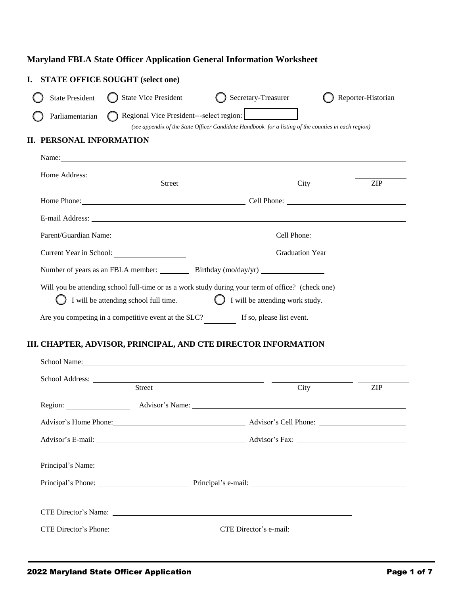## **Maryland FBLA State Officer Application General Information Worksheet**

| <b>STATE OFFICE SOUGHT (select one)</b>                                                                                                                                                                                              |                                                                                                                                                 |                                      |  |  |
|--------------------------------------------------------------------------------------------------------------------------------------------------------------------------------------------------------------------------------------|-------------------------------------------------------------------------------------------------------------------------------------------------|--------------------------------------|--|--|
| <b>State Vice President</b><br><b>State President</b>                                                                                                                                                                                | Secretary-Treasurer                                                                                                                             | Reporter-Historian                   |  |  |
| Parliamentarian                                                                                                                                                                                                                      | Regional Vice President---select region:<br>(see appendix of the State Officer Candidate Handbook for a listing of the counties in each region) |                                      |  |  |
| PERSONAL INFORMATION<br>П.                                                                                                                                                                                                           |                                                                                                                                                 |                                      |  |  |
| Name: Name: Name: Name: Name: Name: Name: Name: Name: Name: Name: Name: Name: Name: Name: Name: Name: Name: Name: Name: Name: Name: Name: Name: Name: Name: Name: Name: Name: Name: Name: Name: Name: Name: Name: Name: Name:        |                                                                                                                                                 |                                      |  |  |
| Street                                                                                                                                                                                                                               | City                                                                                                                                            | <b>ZIP</b>                           |  |  |
| Home Phone: Cell Phone: Cell Phone: Cell Phone: Cell Phone: Cell Phone: Cell Phone: Cell Phone: Cell Phone: Cell Phone: Cell Phone: Cell Phone: Cell Phone: Cell Phone: Cell Phone: Cell Phone: Cell Phone: Cell Phone: Cell P       |                                                                                                                                                 |                                      |  |  |
| E-mail Address: <u>Queen and the same of the same of the same of the same of the same of the same of the same of the same of the same of the same of the same of the same of the same of the same of the same of the same of the</u> |                                                                                                                                                 |                                      |  |  |
| Parent/Guardian Name: Cell Phone: Cell Phone:                                                                                                                                                                                        |                                                                                                                                                 |                                      |  |  |
| Current Year in School:                                                                                                                                                                                                              |                                                                                                                                                 | Graduation Year<br><u>Craduation</u> |  |  |
| Number of years as an FBLA member: _____________ Birthday (mo/day/yr) ______________________________                                                                                                                                 |                                                                                                                                                 |                                      |  |  |
| Will you be attending school full-time or as a work study during your term of office? (check one)<br>I will be attending school full time.                                                                                           | I will be attending work study.                                                                                                                 |                                      |  |  |
| Are you competing in a competitive event at the SLC?                                                                                                                                                                                 | If so, please list event.                                                                                                                       |                                      |  |  |

## **III. CHAPTER, ADVISOR, PRINCIPAL, AND CTE DIRECTOR INFORMATION**

| School Name: Name and School Name and School Name and School Name and School Name and School Name and School Name and School Name and School Name and School Name and School Name and School Name and School Name and School N |      |            |
|--------------------------------------------------------------------------------------------------------------------------------------------------------------------------------------------------------------------------------|------|------------|
| Street                                                                                                                                                                                                                         | City | <b>ZIP</b> |
|                                                                                                                                                                                                                                |      |            |
|                                                                                                                                                                                                                                |      |            |
|                                                                                                                                                                                                                                |      |            |
| Principal's Phone: Principal's e-mail: Principal's e-mail:                                                                                                                                                                     |      |            |
| CTE Director's Phone: CTE Director's e-mail:                                                                                                                                                                                   |      |            |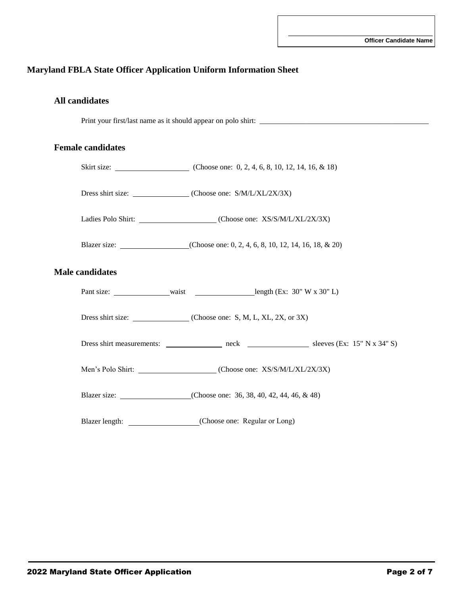## **Maryland FBLA State Officer Application Uniform Information Sheet**

| <b>All candidates</b> |
|-----------------------|
|                       |

Print your first/last name as it should appear on polo shirt: \_\_\_\_\_\_\_\_\_\_\_\_\_\_\_\_\_\_\_\_\_\_\_\_\_\_\_\_\_\_\_\_\_\_\_\_\_\_\_\_\_\_\_\_\_

#### **Female candidates**

|                        | Dress shirt size: (Choose one: S/M/L/XL/2X/3X)     |
|------------------------|----------------------------------------------------|
|                        | Ladies Polo Shirt: (Choose one: XS/S/M/L/XL/2X/3X) |
|                        |                                                    |
| <b>Male candidates</b> |                                                    |
|                        |                                                    |
|                        |                                                    |
|                        |                                                    |
|                        |                                                    |
|                        |                                                    |
|                        |                                                    |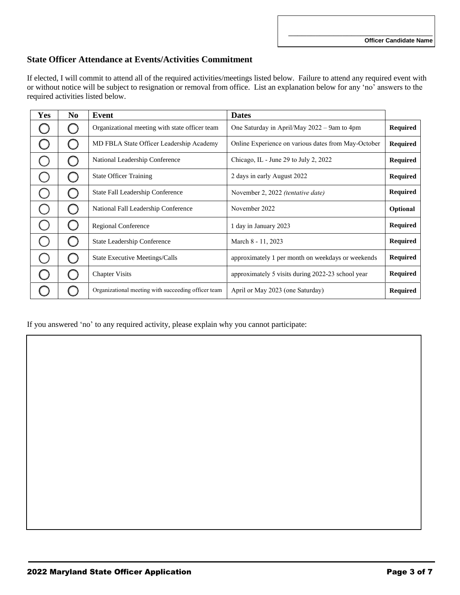\_\_\_\_\_\_\_\_\_\_\_\_\_\_\_\_\_\_\_\_\_\_\_\_\_\_\_\_\_\_\_\_

#### **State Officer Attendance at Events/Activities Commitment**

If elected, I will commit to attend all of the required activities/meetings listed below. Failure to attend any required event with or without notice will be subject to resignation or removal from office. List an explanation below for any 'no' answers to the required activities listed below.

| Yes | N <sub>0</sub> | Event                                               | <b>Dates</b>                                        |                 |
|-----|----------------|-----------------------------------------------------|-----------------------------------------------------|-----------------|
|     |                | Organizational meeting with state officer team      | One Saturday in April/May 2022 – 9am to 4pm         | <b>Required</b> |
|     |                | MD FBLA State Officer Leadership Academy            | Online Experience on various dates from May-October | <b>Required</b> |
|     |                | National Leadership Conference                      | Chicago, IL - June 29 to July 2, 2022               | <b>Required</b> |
|     |                | <b>State Officer Training</b>                       | 2 days in early August 2022                         | <b>Required</b> |
|     |                | State Fall Leadership Conference                    | November 2, 2022 <i>(tentative date)</i>            | <b>Required</b> |
|     |                | National Fall Leadership Conference                 | November 2022                                       | Optional        |
|     |                | Regional Conference                                 | 1 day in January 2023                               | <b>Required</b> |
|     |                | <b>State Leadership Conference</b>                  | March 8 - 11, 2023                                  | <b>Required</b> |
|     | ( )            | <b>State Executive Meetings/Calls</b>               | approximately 1 per month on weekdays or weekends   | <b>Required</b> |
|     |                | <b>Chapter Visits</b>                               | approximately 5 visits during 2022-23 school year   | <b>Required</b> |
|     |                | Organizational meeting with succeeding officer team | April or May 2023 (one Saturday)                    | <b>Required</b> |

If you answered 'no' to any required activity, please explain why you cannot participate: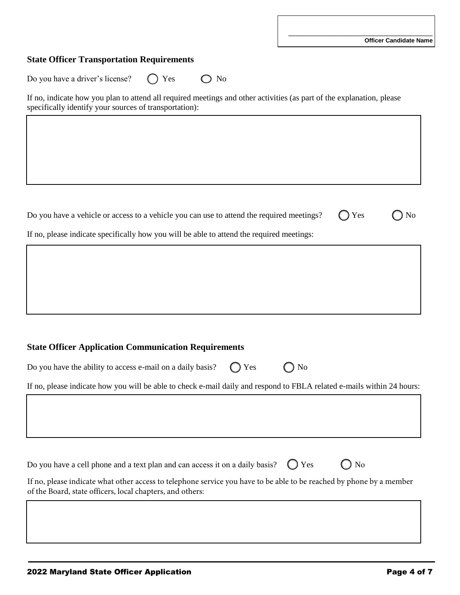#### **State Officer Transportation Requirements**

Do you have a driver's license?  $\bigcirc$  Yes  $\bigcirc$  No

If no, indicate how you plan to attend all required meetings and other activities (as part of the explanation, please specifically identify your sources of transportation):

Do you have a vehicle or access to a vehicle you can use to attend the required meetings?  $\bigcirc$  Yes  $\bigcirc$  No

If no, please indicate specifically how you will be able to attend the required meetings:

| Do you have the ability to access e-mail on a daily basis? $\bigcirc$ Yes $\bigcirc$ No |  |  |  |
|-----------------------------------------------------------------------------------------|--|--|--|
|-----------------------------------------------------------------------------------------|--|--|--|

If no, please indicate how you will be able to check e-mail daily and respond to FBLA related e-mails within 24 hours:

Do you have a cell phone and a text plan and can access it on a daily basis?  $\bigcirc$  Yes  $\bigcirc$  No

If no, please indicate what other access to telephone service you have to be able to be reached by phone by a member of the Board, state officers, local chapters, and others: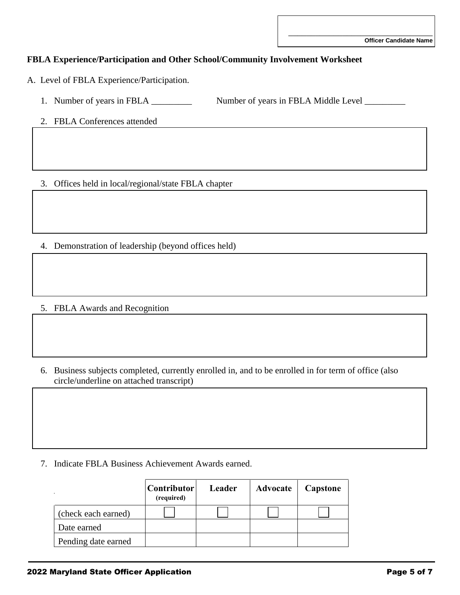\_\_\_\_\_\_\_\_\_\_\_\_\_\_\_\_\_\_\_\_\_\_\_\_\_\_\_\_\_\_\_\_

## **FBLA Experience/Participation and Other School/Community Involvement Worksheet**

A. Level of FBLA Experience/Participation.

- 1. Number of years in FBLA \_\_\_\_\_\_\_\_\_\_ Number of years in FBLA Middle Level \_\_\_\_\_\_
- 2. FBLA Conferences attended

3. Offices held in local/regional/state FBLA chapter

4. Demonstration of leadership (beyond offices held)

5. FBLA Awards and Recognition

6. Business subjects completed, currently enrolled in, and to be enrolled in for term of office (also circle/underline on attached transcript)

7. Indicate FBLA Business Achievement Awards earned.

|                     | Contributor  <br>(required) | Leader | Advocate | Capstone |
|---------------------|-----------------------------|--------|----------|----------|
| (check each earned) |                             |        |          |          |
| Date earned         |                             |        |          |          |
| Pending date earned |                             |        |          |          |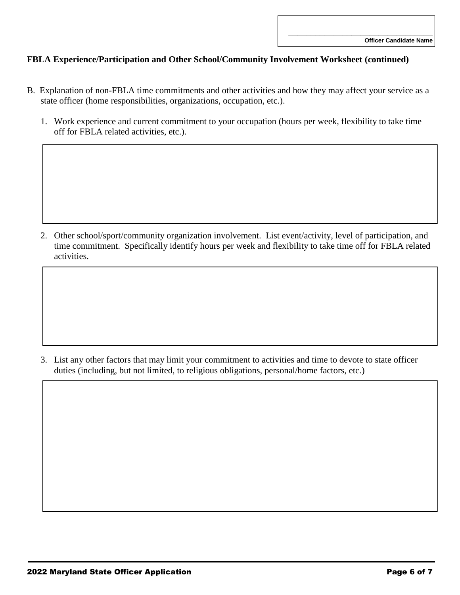### **FBLA Experience/Participation and Other School/Community Involvement Worksheet (continued)**

- B. Explanation of non-FBLA time commitments and other activities and how they may affect your service as a state officer (home responsibilities, organizations, occupation, etc.).
	- 1. Work experience and current commitment to your occupation (hours per week, flexibility to take time off for FBLA related activities, etc.).

2. Other school/sport/community organization involvement. List event/activity, level of participation, and time commitment. Specifically identify hours per week and flexibility to take time off for FBLA related activities.

3. List any other factors that may limit your commitment to activities and time to devote to state officer duties (including, but not limited, to religious obligations, personal/home factors, etc.)